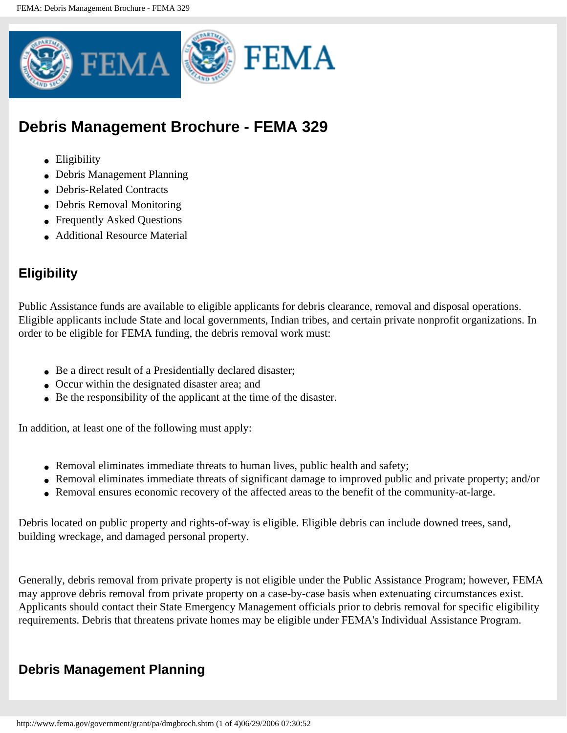

# **Debris Management Brochure - FEMA 329**

- [Eligibility](#page-0-0)
- [Debris Management Planning](#page-0-1)
- [Debris-Related Contracts](#page-1-0)
- [Debris Removal Monitoring](#page-2-0)
- [Frequently Asked Questions](#page-2-1)
- [Additional Resource Material](#page-3-0)

### <span id="page-0-0"></span>**Eligibility**

Public Assistance funds are available to eligible applicants for debris clearance, removal and disposal operations. Eligible applicants include State and local governments, Indian tribes, and certain private nonprofit organizations. In order to be eligible for FEMA funding, the debris removal work must:

- Be a direct result of a Presidentially declared disaster;
- Occur within the designated disaster area; and
- Be the responsibility of the applicant at the time of the disaster.

In addition, at least one of the following must apply:

- Removal eliminates immediate threats to human lives, public health and safety;
- Removal eliminates immediate threats of significant damage to improved public and private property; and/or
- Removal ensures economic recovery of the affected areas to the benefit of the community-at-large.

Debris located on public property and rights-of-way is eligible. Eligible debris can include downed trees, sand, building wreckage, and damaged personal property.

Generally, debris removal from private property is not eligible under the Public Assistance Program; however, FEMA may approve debris removal from private property on a case-by-case basis when extenuating circumstances exist. Applicants should contact their State Emergency Management officials prior to debris removal for specific eligibility requirements. Debris that threatens private homes may be eligible under FEMA's Individual Assistance Program.

#### <span id="page-0-1"></span>**Debris Management Planning**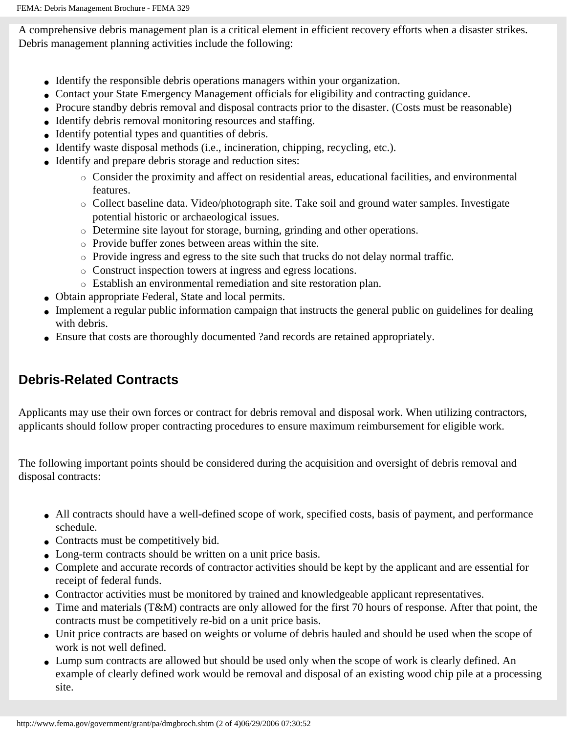A comprehensive debris management plan is a critical element in efficient recovery efforts when a disaster strikes. Debris management planning activities include the following:

- Identify the responsible debris operations managers within your organization.
- Contact your State Emergency Management officials for eligibility and contracting guidance.
- Procure standby debris removal and disposal contracts prior to the disaster. (Costs must be reasonable)
- Identify debris removal monitoring resources and staffing.
- Identify potential types and quantities of debris.
- Identify waste disposal methods (i.e., incineration, chipping, recycling, etc.).
- Identify and prepare debris storage and reduction sites:
	- ❍ Consider the proximity and affect on residential areas, educational facilities, and environmental features.
	- ❍ Collect baseline data. Video/photograph site. Take soil and ground water samples. Investigate potential historic or archaeological issues.
	- ❍ Determine site layout for storage, burning, grinding and other operations.
	- ❍ Provide buffer zones between areas within the site.
	- ❍ Provide ingress and egress to the site such that trucks do not delay normal traffic.
	- ❍ Construct inspection towers at ingress and egress locations.
	- ❍ Establish an environmental remediation and site restoration plan.
- Obtain appropriate Federal, State and local permits.
- Implement a regular public information campaign that instructs the general public on guidelines for dealing with debris.
- Ensure that costs are thoroughly documented ?and records are retained appropriately.

# <span id="page-1-0"></span>**Debris-Related Contracts**

Applicants may use their own forces or contract for debris removal and disposal work. When utilizing contractors, applicants should follow proper contracting procedures to ensure maximum reimbursement for eligible work.

The following important points should be considered during the acquisition and oversight of debris removal and disposal contracts:

- All contracts should have a well-defined scope of work, specified costs, basis of payment, and performance schedule.
- Contracts must be competitively bid.
- Long-term contracts should be written on a unit price basis.
- Complete and accurate records of contractor activities should be kept by the applicant and are essential for receipt of federal funds.
- Contractor activities must be monitored by trained and knowledgeable applicant representatives.
- Time and materials (T&M) contracts are only allowed for the first 70 hours of response. After that point, the contracts must be competitively re-bid on a unit price basis.
- Unit price contracts are based on weights or volume of debris hauled and should be used when the scope of work is not well defined.
- Lump sum contracts are allowed but should be used only when the scope of work is clearly defined. An example of clearly defined work would be removal and disposal of an existing wood chip pile at a processing site.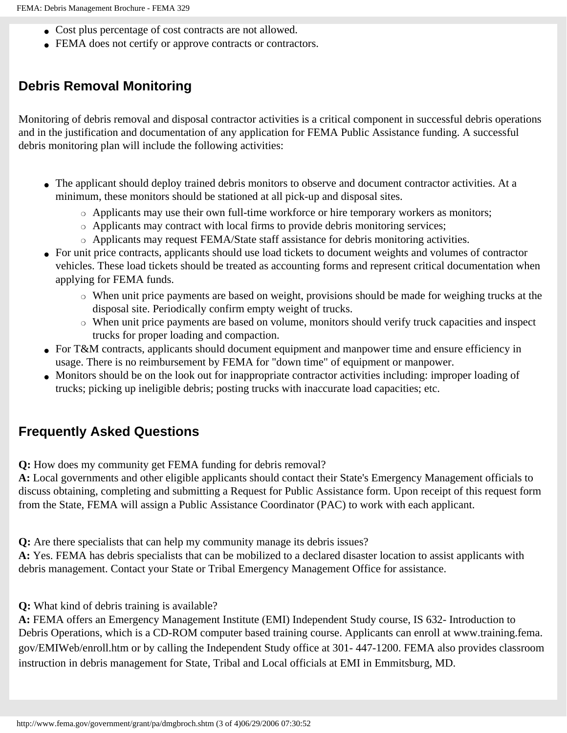- Cost plus percentage of cost contracts are not allowed.
- FEMA does not certify or approve contracts or contractors.

#### <span id="page-2-0"></span>**Debris Removal Monitoring**

Monitoring of debris removal and disposal contractor activities is a critical component in successful debris operations and in the justification and documentation of any application for FEMA Public Assistance funding. A successful debris monitoring plan will include the following activities:

- The applicant should deploy trained debris monitors to observe and document contractor activities. At a minimum, these monitors should be stationed at all pick-up and disposal sites.
	- ❍ Applicants may use their own full-time workforce or hire temporary workers as monitors;
	- ❍ Applicants may contract with local firms to provide debris monitoring services;
	- ❍ Applicants may request FEMA/State staff assistance for debris monitoring activities.
- For unit price contracts, applicants should use load tickets to document weights and volumes of contractor vehicles. These load tickets should be treated as accounting forms and represent critical documentation when applying for FEMA funds.
	- ❍ When unit price payments are based on weight, provisions should be made for weighing trucks at the disposal site. Periodically confirm empty weight of trucks.
	- ❍ When unit price payments are based on volume, monitors should verify truck capacities and inspect trucks for proper loading and compaction.
- For T&M contracts, applicants should document equipment and manpower time and ensure efficiency in usage. There is no reimbursement by FEMA for "down time" of equipment or manpower.
- Monitors should be on the look out for inappropriate contractor activities including: improper loading of trucks; picking up ineligible debris; posting trucks with inaccurate load capacities; etc.

#### <span id="page-2-1"></span>**Frequently Asked Questions**

**Q:** How does my community get FEMA funding for debris removal?

**A:** Local governments and other eligible applicants should contact their State's Emergency Management officials to discuss obtaining, completing and submitting a Request for Public Assistance form. Upon receipt of this request form from the State, FEMA will assign a Public Assistance Coordinator (PAC) to work with each applicant.

**Q:** Are there specialists that can help my community manage its debris issues?

**A:** Yes. FEMA has debris specialists that can be mobilized to a declared disaster location to assist applicants with debris management. Contact your State or Tribal Emergency Management Office for assistance.

**Q:** What kind of debris training is available?

**A:** FEMA offers an Emergency Management Institute (EMI) Independent Study course, IS 632- Introduction to Debris Operations, which is a CD-ROM computer based training course. Applicants can enroll at [www.training.fema.](http://www.training.fema.gov/EMIWeb/enroll.htm) [gov/EMIWeb/enroll.htm](http://www.training.fema.gov/EMIWeb/enroll.htm) or by calling the Independent Study office at 301- 447-1200. FEMA also provides classroom instruction in debris management for State, Tribal and Local officials at EMI in Emmitsburg, MD.